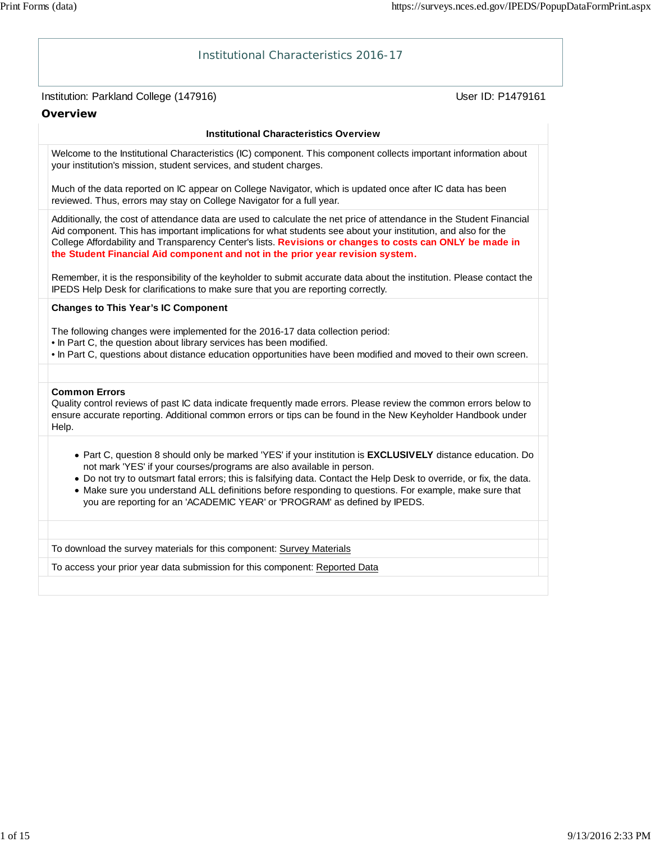# Institution: Parkland College (147916) November 2012 12: Physics User ID: P1479161 Institutional Characteristics 2016-17 **Overview Institutional Characteristics Overview** Welcome to the Institutional Characteristics (IC) component. This component collects important information about your institution's mission, student services, and student charges. Much of the data reported on IC appear on College Navigator, which is updated once after IC data has been reviewed. Thus, errors may stay on College Navigator for a full year. Additionally, the cost of attendance data are used to calculate the net price of attendance in the Student Financial Aid component. This has important implications for what students see about your institution, and also for the College Affordability and Transparency Center's lists. **Revisions or changes to costs can ONLY be made in the Student Financial Aid component and not in the prior year revision system.** Remember, it is the responsibility of the keyholder to submit accurate data about the institution. Please contact the IPEDS Help Desk for clarifications to make sure that you are reporting correctly. **Changes to This Year's IC Component** The following changes were implemented for the 2016-17 data collection period: • In Part C, the question about library services has been modified. • In Part C, questions about distance education opportunities have been modified and moved to their own screen. **Common Errors** Quality control reviews of past IC data indicate frequently made errors. Please review the common errors below to ensure accurate reporting. Additional common errors or tips can be found in the New Keyholder Handbook under Help. Part C, question 8 should only be marked 'YES' if your institution is **EXCLUSIVELY** distance education. Do not mark 'YES' if your courses/programs are also available in person. Do not try to outsmart fatal errors; this is falsifying data. Contact the Help Desk to override, or fix, the data. Make sure you understand ALL definitions before responding to questions. For example, make sure that you are reporting for an 'ACADEMIC YEAR' or 'PROGRAM' as defined by IPEDS. To download the survey materials for this component: Survey Materials To access your prior year data submission for this component: Reported Data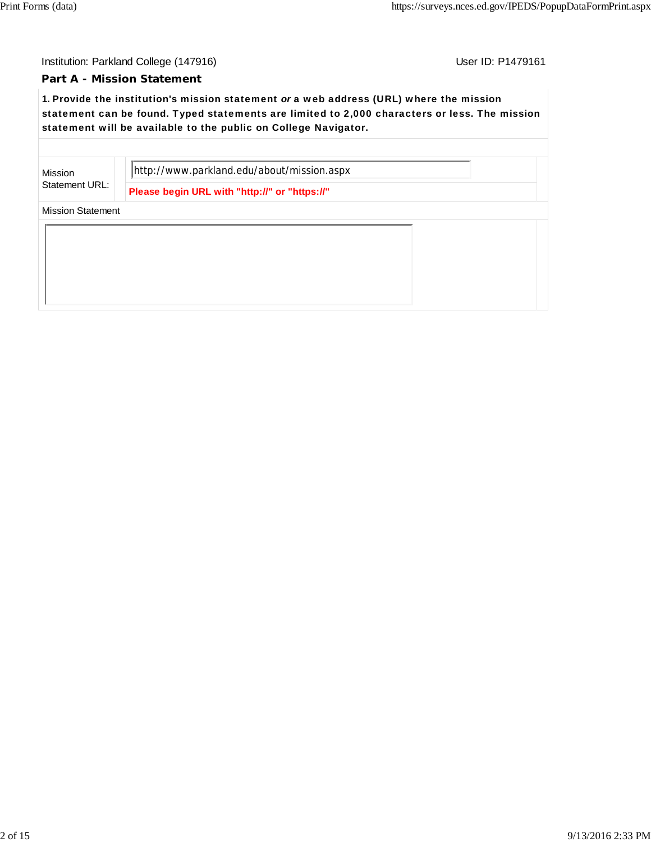### **Part A - Mission Statement**

**1.** Provide the institution's mission statement *or* a web address (URL) where the mission statement can be found. Typed statements are limited to 2,000 characters or less. The mission statement will be available to the public on College Navigator.

Mission Statement URL: http://www.parkland.edu/about/mission.aspx

**Please begin URL with "http://" or "https://"**

Mission Statement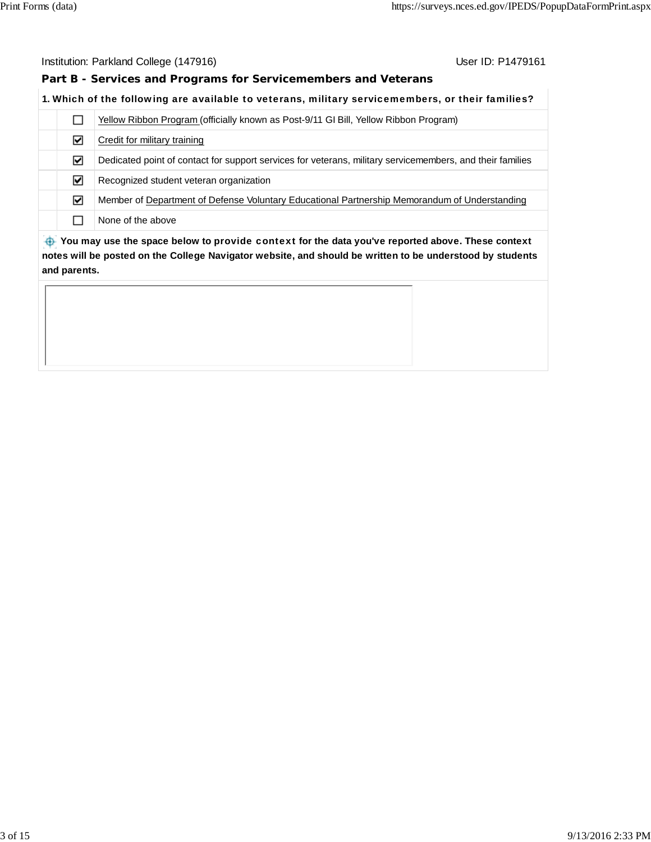**Part B - Services and Programs for Servicemembers and Veterans**

### **1.** Which of the following are available to veterans, military servicemembers, or their families?

|                                                                                                  | Yellow Ribbon Program (officially known as Post-9/11 GI Bill, Yellow Ribbon Program)                      |  |  |  |  |
|--------------------------------------------------------------------------------------------------|-----------------------------------------------------------------------------------------------------------|--|--|--|--|
| ☑                                                                                                | Credit for military training                                                                              |  |  |  |  |
| ☑                                                                                                | Dedicated point of contact for support services for veterans, military servicemembers, and their families |  |  |  |  |
| ☑                                                                                                | Recognized student veteran organization                                                                   |  |  |  |  |
| ☑                                                                                                | Member of Department of Defense Voluntary Educational Partnership Memorandum of Understanding             |  |  |  |  |
|                                                                                                  | None of the above                                                                                         |  |  |  |  |
| Nou may use the space below to provide context for the data veulye reported above. These context |                                                                                                           |  |  |  |  |

 **You may use the space below to** provide context **for the data you've reported above. These context notes will be posted on the College Navigator website, and should be written to be understood by students and parents.**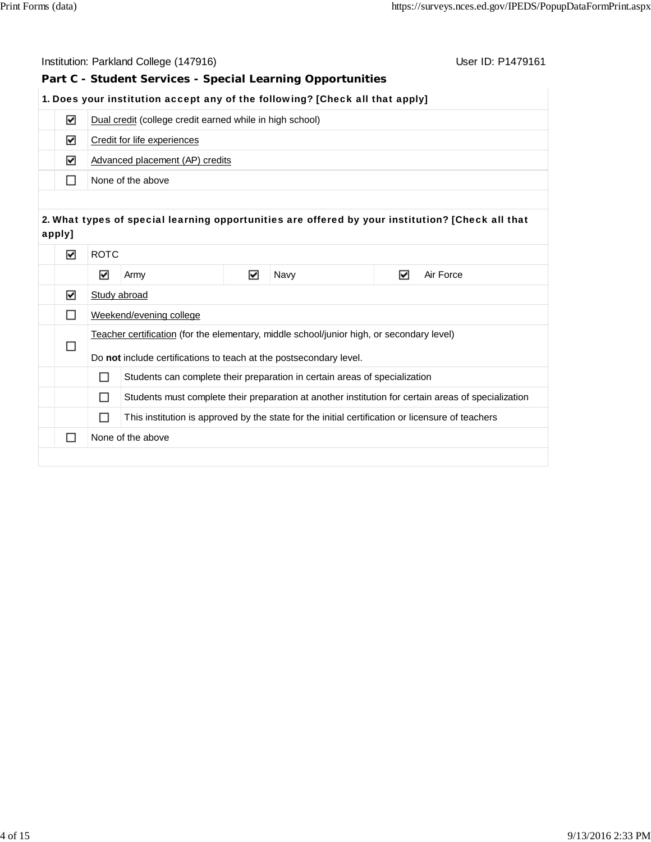|        | Institution: Parkland College (147916)<br>User ID: P1479161 |                                                                                                       |                                                          |   |                                                                                           |   |                                                                                                     |
|--------|-------------------------------------------------------------|-------------------------------------------------------------------------------------------------------|----------------------------------------------------------|---|-------------------------------------------------------------------------------------------|---|-----------------------------------------------------------------------------------------------------|
|        |                                                             |                                                                                                       |                                                          |   | Part C - Student Services - Special Learning Opportunities                                |   |                                                                                                     |
|        |                                                             |                                                                                                       |                                                          |   | 1. Does your institution accept any of the following? [Check all that apply]              |   |                                                                                                     |
|        | ☑                                                           |                                                                                                       | Dual credit (college credit earned while in high school) |   |                                                                                           |   |                                                                                                     |
|        | ☑                                                           |                                                                                                       | Credit for life experiences                              |   |                                                                                           |   |                                                                                                     |
|        | ☑                                                           |                                                                                                       | Advanced placement (AP) credits                          |   |                                                                                           |   |                                                                                                     |
|        | П                                                           |                                                                                                       | None of the above                                        |   |                                                                                           |   |                                                                                                     |
|        |                                                             |                                                                                                       |                                                          |   |                                                                                           |   |                                                                                                     |
| apply] |                                                             |                                                                                                       |                                                          |   |                                                                                           |   | 2. What types of special learning opportunities are offered by your institution? [Check all that    |
|        | ☑                                                           | <b>ROTC</b>                                                                                           |                                                          |   |                                                                                           |   |                                                                                                     |
|        |                                                             | $\blacktriangledown$                                                                                  | Army                                                     | ☑ | Navy                                                                                      | ☑ | Air Force                                                                                           |
|        | ☑                                                           | Study abroad                                                                                          |                                                          |   |                                                                                           |   |                                                                                                     |
|        | П                                                           |                                                                                                       | Weekend/evening college                                  |   |                                                                                           |   |                                                                                                     |
|        |                                                             |                                                                                                       |                                                          |   | Teacher certification (for the elementary, middle school/junior high, or secondary level) |   |                                                                                                     |
|        | □                                                           | Do not include certifications to teach at the postsecondary level.                                    |                                                          |   |                                                                                           |   |                                                                                                     |
|        |                                                             | □                                                                                                     |                                                          |   | Students can complete their preparation in certain areas of specialization                |   |                                                                                                     |
|        |                                                             | □                                                                                                     |                                                          |   |                                                                                           |   | Students must complete their preparation at another institution for certain areas of specialization |
|        |                                                             | This institution is approved by the state for the initial certification or licensure of teachers<br>□ |                                                          |   |                                                                                           |   |                                                                                                     |
|        | $\Box$                                                      | None of the above                                                                                     |                                                          |   |                                                                                           |   |                                                                                                     |
|        |                                                             |                                                                                                       |                                                          |   |                                                                                           |   |                                                                                                     |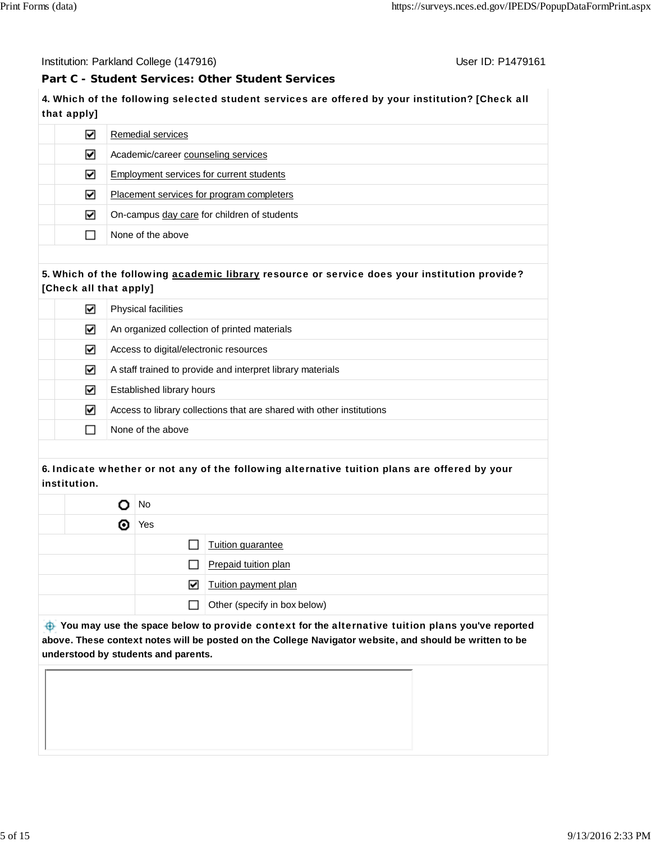Institution: Parkland College (147916) November 2012 12: P1479161

**Part C - Student Services: Other Student Services**

# **4.** Which of the following selected student services are offered by your institution? [Check all that apply]

| ☑ | Remedial services                           |
|---|---------------------------------------------|
| ☑ | Academic/career counseling services         |
| ☑ | Employment services for current students    |
| ☑ | Placement services for program completers   |
| ☑ | On-campus day care for children of students |
|   | None of the above                           |
|   |                                             |

### **5.** Which of the following academic library resource or service does your institution provide? [Check all that apply]

| ☑ | <b>Physical facilities</b>                                            |  |  |  |
|---|-----------------------------------------------------------------------|--|--|--|
| ☑ | An organized collection of printed materials                          |  |  |  |
| ☑ | Access to digital/electronic resources                                |  |  |  |
| ☑ | A staff trained to provide and interpret library materials            |  |  |  |
| ☑ | Established library hours                                             |  |  |  |
| ☑ | Access to library collections that are shared with other institutions |  |  |  |
|   | None of the above                                                     |  |  |  |

## **6.** Indicate whether or not any of the following alternative tuition plans are offered by your institution.

|   | No           |                              |  |  |  |
|---|--------------|------------------------------|--|--|--|
| Θ | Yes          |                              |  |  |  |
|   |              | Tuition guarantee            |  |  |  |
|   | ΙI           | Prepaid tuition plan         |  |  |  |
|   | ☑            | Tuition payment plan         |  |  |  |
|   | $\mathsf{L}$ | Other (specify in box below) |  |  |  |

 **You may use the space below to** provide context **for the** alternative tuition plans **you've reported above. These context notes will be posted on the College Navigator website, and should be written to be understood by students and parents.**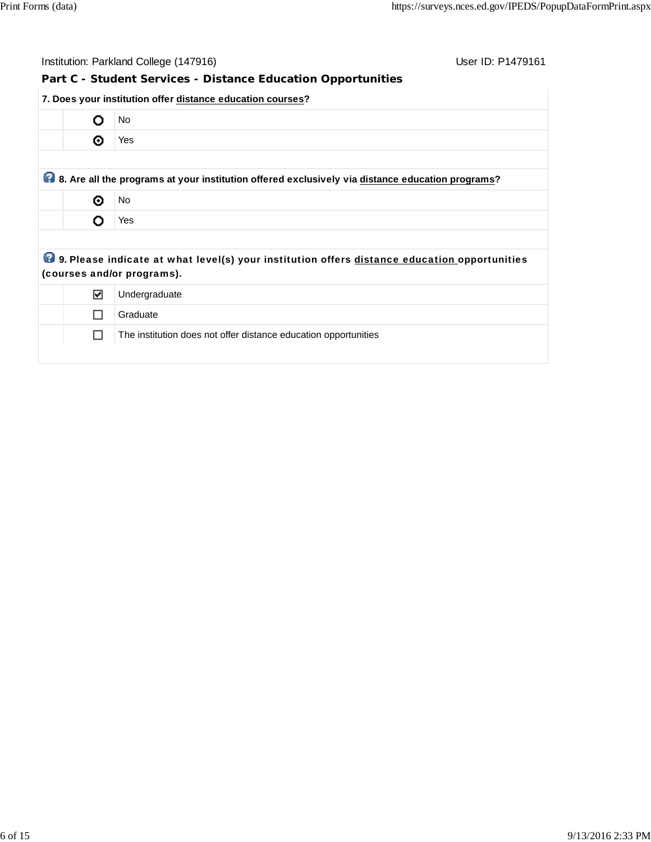| User ID: P1479161<br>Institution: Parkland College (147916) |                                                                                                                            |  |  |  |  |  |  |
|-------------------------------------------------------------|----------------------------------------------------------------------------------------------------------------------------|--|--|--|--|--|--|
|                                                             | Part C - Student Services - Distance Education Opportunities                                                               |  |  |  |  |  |  |
|                                                             | 7. Does your institution offer distance education courses?                                                                 |  |  |  |  |  |  |
| O                                                           | No                                                                                                                         |  |  |  |  |  |  |
| ⊙                                                           | Yes                                                                                                                        |  |  |  |  |  |  |
|                                                             |                                                                                                                            |  |  |  |  |  |  |
|                                                             | 8. Are all the programs at your institution offered exclusively via distance education programs?                           |  |  |  |  |  |  |
| ⊙                                                           | No                                                                                                                         |  |  |  |  |  |  |
| Ω                                                           | Yes                                                                                                                        |  |  |  |  |  |  |
|                                                             |                                                                                                                            |  |  |  |  |  |  |
|                                                             | 9. Please indicate at what level(s) your institution offers distance education opportunities<br>(courses and/or programs). |  |  |  |  |  |  |
| ☑                                                           | Undergraduate                                                                                                              |  |  |  |  |  |  |
| $\Box$                                                      | Graduate                                                                                                                   |  |  |  |  |  |  |
| ΙI                                                          | The institution does not offer distance education opportunities                                                            |  |  |  |  |  |  |
|                                                             |                                                                                                                            |  |  |  |  |  |  |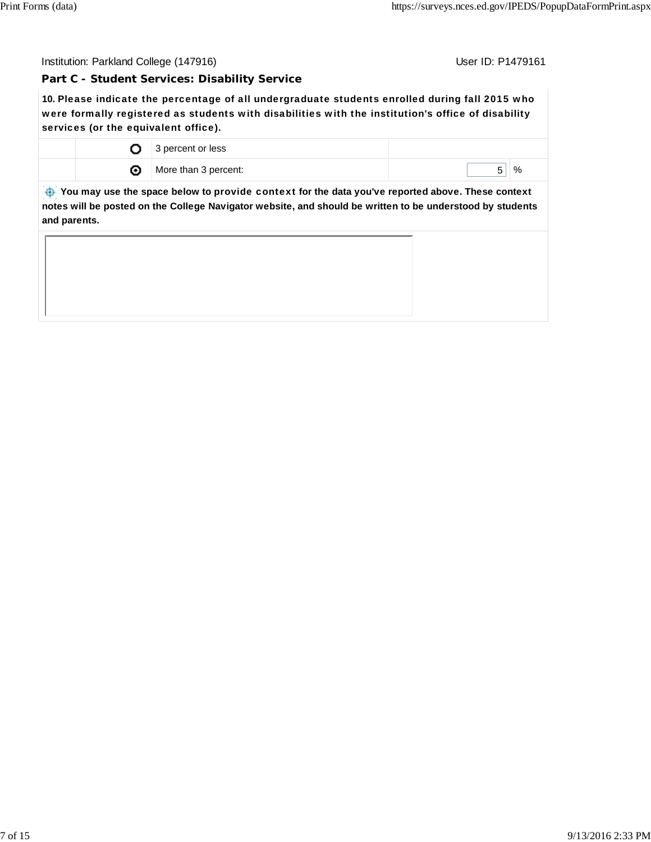### **Part C - Student Services: Disability Service**

**10.** Please indicate the percentage of all undergraduate students enrolled during fall 2015 who were formally registered as students with disabilities with the institution's office of disability services (or the equivalent office).

|   | percent or less<br>ت |      |
|---|----------------------|------|
| ຶ | More than 3 percent: | $\%$ |

 **You may use the space below to** provide context **for the data you've reported above. These context notes will be posted on the College Navigator website, and should be written to be understood by students and parents.**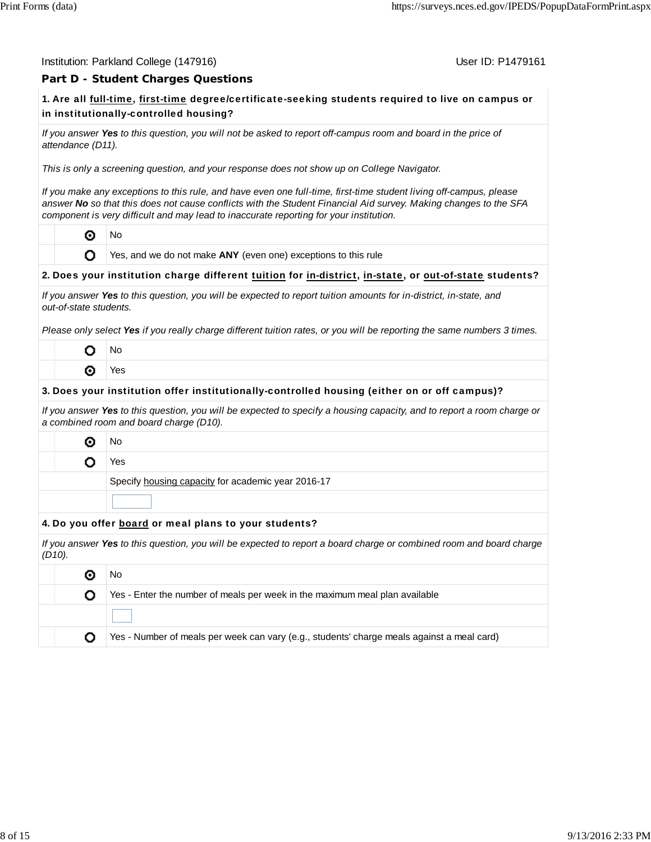#### Institution: Parkland College (147916) November 2012 12: P1479161

### **Part D - Student Charges Questions**

# **1.** Are all full-time, first-time degree/certificate-seeking students required to live on campus or in institutionally-controlled housing?

*If you answer Yes to this question, you will not be asked to report off-campus room and board in the price of attendance (D11).*

*This is only a screening question, and your response does not show up on College Navigator.*

*If you make any exceptions to this rule, and have even one full-time, first-time student living off-campus, please answer No so that this does not cause conflicts with the Student Financial Aid survey. Making changes to the SFA component is very difficult and may lead to inaccurate reporting for your institution.*

⊙ No

O

Yes, and we do not make **ANY** (even one) exceptions to this rule

#### **2.** Does your institution charge different tuition for in-district, in-state, or out-of-state students?

| If you answer Yes to this question, you will be expected to report tuition amounts for in-district, in-state, and |  |
|-------------------------------------------------------------------------------------------------------------------|--|
| out-of-state students.                                                                                            |  |

*Please only select Yes if you really charge different tuition rates, or you will be reporting the same numbers 3 times.*

| J٥           |
|--------------|
| ✓<br>ς<br>ς. |

#### **3.** Does your institution offer institutionally-controlled housing (either on or off campus)?

*If you answer Yes to this question, you will be expected to specify a housing capacity, and to report a room charge or a combined room and board charge (D10).*

◉ No

o

Yes

Specify housing capacity for academic year 2016-17

#### **4.** Do you offer board or meal plans to your students?

*If you answer Yes to this question, you will be expected to report a board charge or combined room and board charge (D10).*

|  | Νo                                                                                         |
|--|--------------------------------------------------------------------------------------------|
|  | Yes - Enter the number of meals per week in the maximum meal plan available                |
|  |                                                                                            |
|  | Yes - Number of meals per week can vary (e.g., students' charge meals against a meal card) |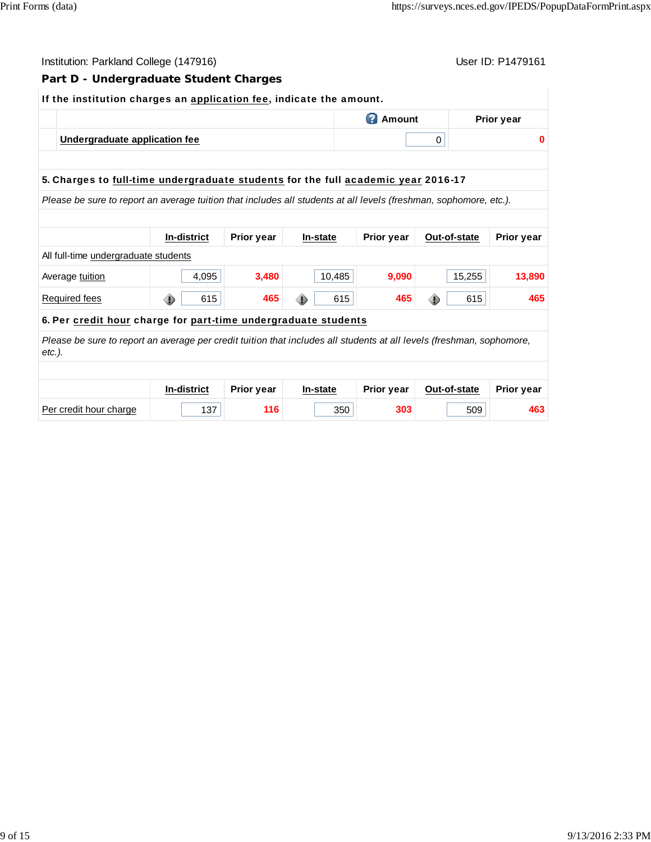| User ID: P1479161<br>Institution: Parkland College (147916)                                                                        |   |                    |                   |  |          |                                   |   |              |                   |  |
|------------------------------------------------------------------------------------------------------------------------------------|---|--------------------|-------------------|--|----------|-----------------------------------|---|--------------|-------------------|--|
| Part D - Undergraduate Student Charges                                                                                             |   |                    |                   |  |          |                                   |   |              |                   |  |
| If the institution charges an application fee, indicate the amount.                                                                |   |                    |                   |  |          |                                   |   |              |                   |  |
|                                                                                                                                    |   |                    |                   |  |          | <b>2</b> Amount                   |   |              | <b>Prior year</b> |  |
| Undergraduate application fee                                                                                                      |   |                    |                   |  |          |                                   | 0 |              | $\bf{0}$          |  |
|                                                                                                                                    |   |                    |                   |  |          |                                   |   |              |                   |  |
| 5. Charges to full-time undergraduate students for the full academic year 2016-17                                                  |   |                    |                   |  |          |                                   |   |              |                   |  |
| Please be sure to report an average tuition that includes all students at all levels (freshman, sophomore, etc.).                  |   |                    |                   |  |          |                                   |   |              |                   |  |
|                                                                                                                                    |   |                    |                   |  |          |                                   |   |              |                   |  |
|                                                                                                                                    |   | <b>In-district</b> | <b>Prior year</b> |  | In-state | <b>Prior year</b><br>Out-of-state |   |              | <b>Prior year</b> |  |
| All full-time undergraduate students                                                                                               |   |                    |                   |  |          |                                   |   |              |                   |  |
| Average tuition                                                                                                                    |   | 4,095              | 3,480             |  | 10,485   | 9,090                             |   | 15,255       | 13,890            |  |
| <b>Required fees</b>                                                                                                               | ⊕ | 615                | 465               |  | 615      | 465                               | ⊕ | 615          | 465               |  |
| 6. Per credit hour charge for part-time undergraduate students                                                                     |   |                    |                   |  |          |                                   |   |              |                   |  |
| Please be sure to report an average per credit tuition that includes all students at all levels (freshman, sophomore,<br>$etc.$ ). |   |                    |                   |  |          |                                   |   |              |                   |  |
|                                                                                                                                    |   |                    |                   |  |          |                                   |   |              |                   |  |
|                                                                                                                                    |   | In-district        | <b>Prior year</b> |  | In-state | Prior year                        |   | Out-of-state | <b>Prior year</b> |  |
| Per credit hour charge                                                                                                             |   | 137                | 116               |  | 350      | 303                               |   | 509          | 463               |  |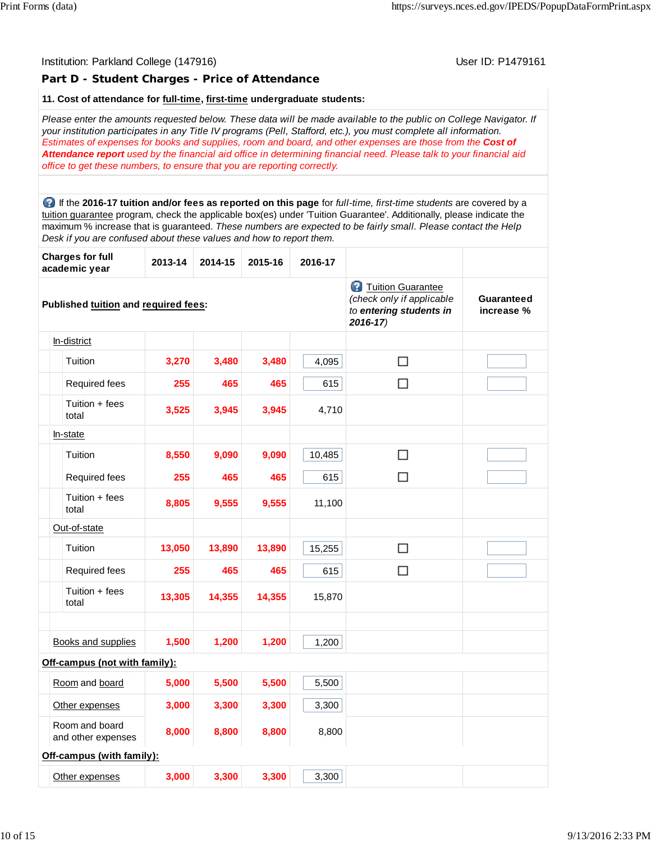# Institution: Parkland College (147916) November 2012 12: P1479161 **Part D - Student Charges - Price of Attendance 11. Cost of attendance for full-time, first-time undergraduate students:** *Please enter the amounts requested below. These data will be made available to the public on College Navigator. If your institution participates in any Title IV programs (Pell, Stafford, etc.), you must complete all information. Estimates of expenses for books and supplies, room and board, and other expenses are those from the Cost of Attendance report used by the financial aid office in determining financial need. Please talk to your financial aid office to get these numbers, to ensure that you are reporting correctly.* If the **2016-17 tuition and/or fees as reported on this page** for *full-time, first-time students* are covered by a tuition guarantee program, check the applicable box(es) under 'Tuition Guarantee'. Additionally, please indicate the maximum % increase that is guaranteed. *These numbers are expected to be fairly small. Please contact the Help Desk if you are confused about these values and how to report them.* **Charges for full academic year 2013-14 2014-15 2015-16 2016-17 Tuition Guarantee** *(check only if applicable* **Guaranteed Published tuition and required fees:** *to entering students in* **increase %** *2016-17)* In-district  $\Box$ Tuition **3,270 3,480 3,480** 4,095 Required fees **255 465 465 615**  $\Box$ Tuition + fees total **3,525 3,945 3,945** 4,710 In-state Tuition **8,550 9,090 9,090** 10,485  $\Box$ Required fees **255 465 465 615**  $\Box$ Tuition + fees total **8,805 9,555 9,555** 11,100 Out-of-state Tuition **13,050 13,890 13,890** 15,255  $\Box$ Required fees **255 465 465 615**  $\Box$ Tuition + fees total **13,305 14,355 14,355** 15,870 Books and supplies **1,500 1,200 1,200** 1,200 **Off-campus (not with family):** Room and board **5,000 5,500 5,500** 5,500 Other expenses **3,000 3,300 3,300** 3,300 Room and board and other expenses **8,000 8,800 8,800** 8,800 **Off-campus (with family):** Other expenses **3,000 3,300 3,300** 3,300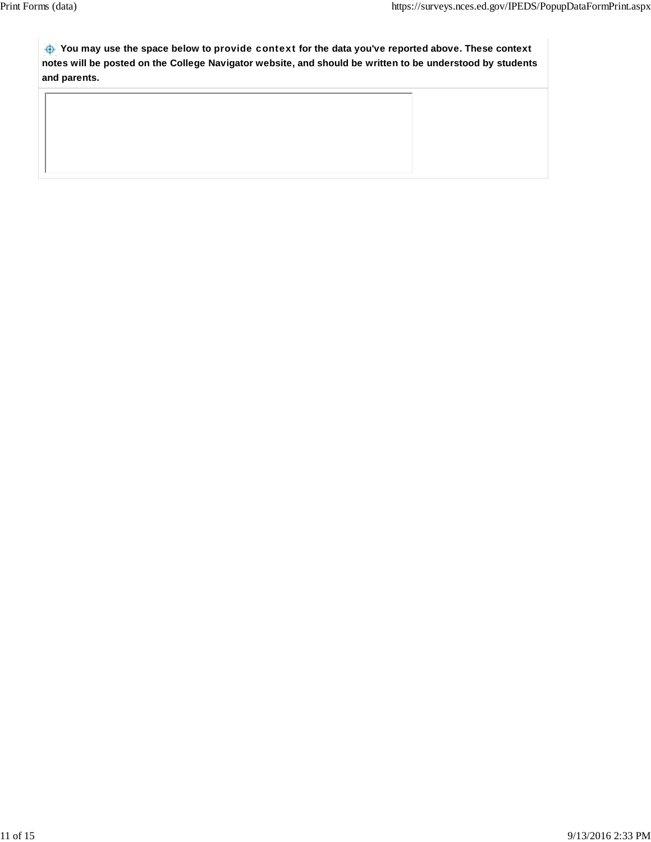**You may use the space below to** provide context **for the data you've reported above. These context notes will be posted on the College Navigator website, and should be written to be understood by students and parents.**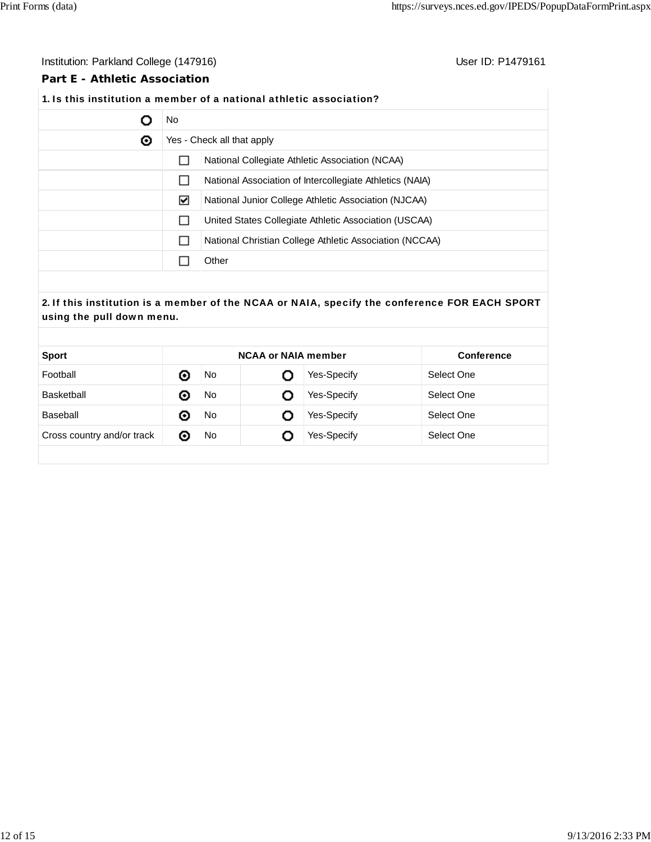### Institution: Parkland College (147916) **Institution: Parkland College (147916**)

### **Part E - Athletic Association**

# **1.** Is this institution a member of a national athletic association?

|   | No. |                                                          |  |  |  |
|---|-----|----------------------------------------------------------|--|--|--|
| ◉ |     | Yes - Check all that apply                               |  |  |  |
|   |     | National Collegiate Athletic Association (NCAA)          |  |  |  |
|   |     | National Association of Intercollegiate Athletics (NAIA) |  |  |  |
|   | ⊻   | National Junior College Athletic Association (NJCAA)     |  |  |  |
|   |     | United States Collegiate Athletic Association (USCAA)    |  |  |  |
|   |     | National Christian College Athletic Association (NCCAA)  |  |  |  |
|   |     | Other                                                    |  |  |  |

# **2.** If this institution is a member of the NCAA or NAIA, specify the conference FOR EACH SPORT using the pull down menu.

| <b>Sport</b>               | <b>NCAA or NAIA member</b> |     |   | <b>Conference</b>  |            |  |
|----------------------------|----------------------------|-----|---|--------------------|------------|--|
| Football                   | ⊙                          | No  |   | Yes-Specify        | Select One |  |
| Basketball                 | ⊙                          | No  | O | <b>Yes-Specify</b> | Select One |  |
| Baseball                   | ⊙                          | No  | O | Yes-Specify        | Select One |  |
| Cross country and/or track | $\bullet$                  | No. | O | Yes-Specify        | Select One |  |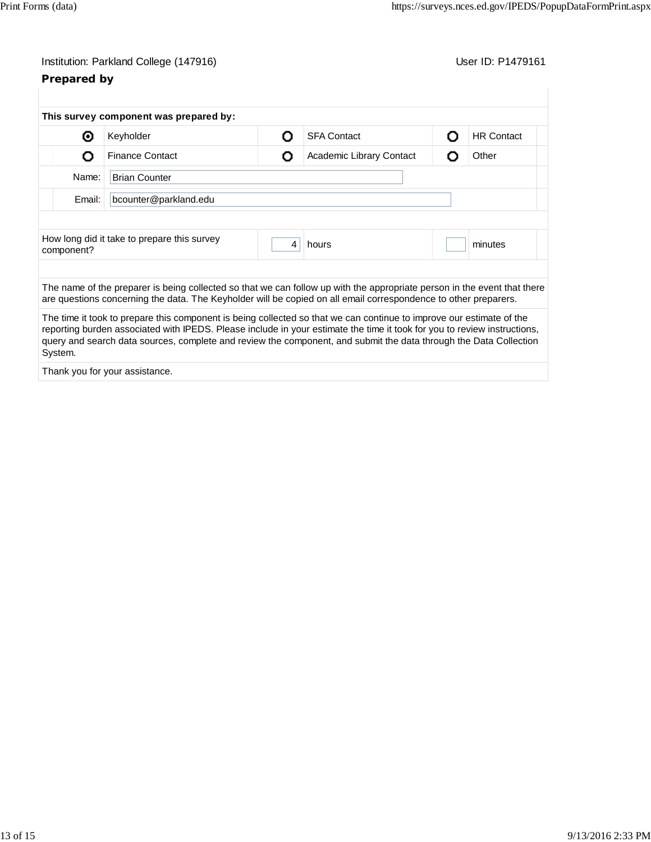# **Prepared by**

|                                 | This survey component was prepared by:                                                                                                                                                                                                                                                                                                                                |   |                          |   |                   |
|---------------------------------|-----------------------------------------------------------------------------------------------------------------------------------------------------------------------------------------------------------------------------------------------------------------------------------------------------------------------------------------------------------------------|---|--------------------------|---|-------------------|
| ⊙                               | Keyholder                                                                                                                                                                                                                                                                                                                                                             | Ω | <b>SFA Contact</b>       |   | <b>HR Contact</b> |
| O                               | <b>Finance Contact</b>                                                                                                                                                                                                                                                                                                                                                | Ο | Academic Library Contact | റ | Other             |
| Name:                           | <b>Brian Counter</b>                                                                                                                                                                                                                                                                                                                                                  |   |                          |   |                   |
| Email:<br>bcounter@parkland.edu |                                                                                                                                                                                                                                                                                                                                                                       |   |                          |   |                   |
|                                 |                                                                                                                                                                                                                                                                                                                                                                       |   |                          |   |                   |
| component?                      | How long did it take to prepare this survey                                                                                                                                                                                                                                                                                                                           | 4 | hours                    |   | minutes           |
|                                 | The name of the preparer is being collected so that we can follow up with the appropriate person in the event that there<br>are questions concerning the data. The Keyholder will be copied on all email correspondence to other preparers.                                                                                                                           |   |                          |   |                   |
| System.                         | The time it took to prepare this component is being collected so that we can continue to improve our estimate of the<br>reporting burden associated with IPEDS. Please include in your estimate the time it took for you to review instructions,<br>query and search data sources, complete and review the component, and submit the data through the Data Collection |   |                          |   |                   |
|                                 | Thank you for your assistance.                                                                                                                                                                                                                                                                                                                                        |   |                          |   |                   |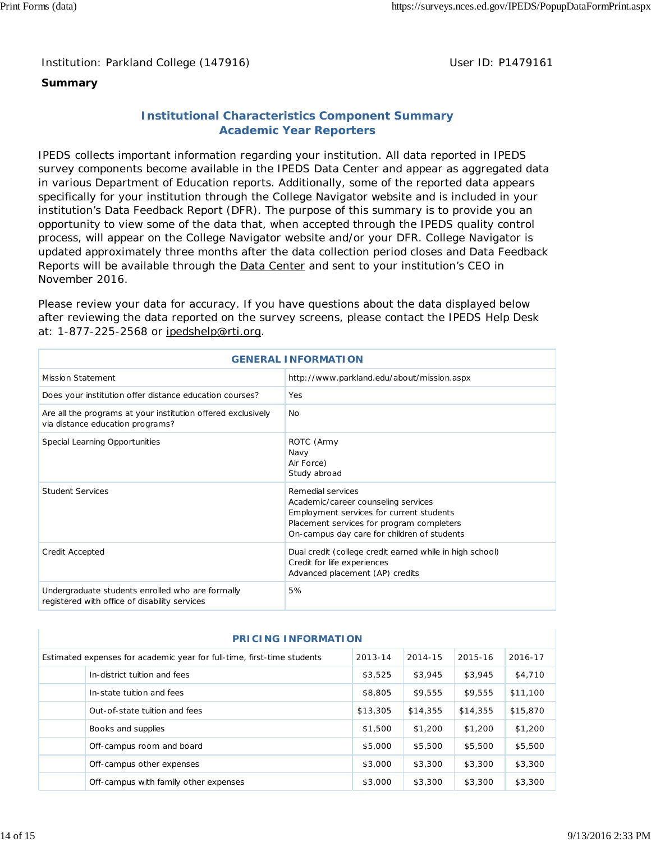Institution: Parkland College (147916) **Distribution: Parkland College (1479161** College College College College College College College College College College College College College College College College College Colle

## **Summary**

# **Institutional Characteristics Component Summary Academic Year Reporters**

IPEDS collects important information regarding your institution. All data reported in IPEDS survey components become available in the IPEDS Data Center and appear as aggregated data in various Department of Education reports. Additionally, some of the reported data appears specifically for your institution through the College Navigator website and is included in your institution's Data Feedback Report (DFR). The purpose of this summary is to provide you an opportunity to view some of the data that, when accepted through the IPEDS quality control process, will appear on the College Navigator website and/or your DFR. College Navigator is updated approximately three months after the data collection period closes and Data Feedback Reports will be available through the Data Center and sent to your institution's CEO in November 2016.

Please review your data for accuracy. If you have questions about the data displayed below after reviewing the data reported on the survey screens, please contact the IPEDS Help Desk at: 1-877-225-2568 or ipedshelp@rti.org.

| <b>GENERAL INFORMATION</b>                                                                        |                                                                                                                                                                                                  |  |  |  |
|---------------------------------------------------------------------------------------------------|--------------------------------------------------------------------------------------------------------------------------------------------------------------------------------------------------|--|--|--|
| <b>Mission Statement</b>                                                                          | http://www.parkland.edu/about/mission.aspx                                                                                                                                                       |  |  |  |
| Does your institution offer distance education courses?                                           | Yes                                                                                                                                                                                              |  |  |  |
| Are all the programs at your institution offered exclusively<br>via distance education programs?  | <b>No</b>                                                                                                                                                                                        |  |  |  |
| Special Learning Opportunities                                                                    | ROTC (Army<br>Navy<br>Air Force)<br>Study abroad                                                                                                                                                 |  |  |  |
| <b>Student Services</b>                                                                           | Remedial services<br>Academic/career counseling services<br>Employment services for current students<br>Placement services for program completers<br>On-campus day care for children of students |  |  |  |
| Credit Accepted                                                                                   | Dual credit (college credit earned while in high school)<br>Credit for life experiences<br>Advanced placement (AP) credits                                                                       |  |  |  |
| Undergraduate students enrolled who are formally<br>registered with office of disability services | 5%                                                                                                                                                                                               |  |  |  |

| <b>PRICING INFORMATION</b> |                                                                         |          |          |          |          |  |
|----------------------------|-------------------------------------------------------------------------|----------|----------|----------|----------|--|
|                            | Estimated expenses for academic year for full-time, first-time students | 2013-14  | 2014-15  | 2015-16  | 2016-17  |  |
|                            | In-district tuition and fees                                            | \$3,525  | \$3,945  | \$3,945  | \$4,710  |  |
|                            | In-state tuition and fees                                               | \$8,805  | \$9,555  | \$9,555  | \$11,100 |  |
|                            | Out-of-state tuition and fees                                           | \$13,305 | \$14,355 | \$14,355 | \$15,870 |  |
|                            | Books and supplies                                                      | \$1,500  | \$1,200  | \$1,200  | \$1,200  |  |
|                            | Off-campus room and board                                               | \$5,000  | \$5,500  | \$5,500  | \$5,500  |  |
|                            | Off-campus other expenses                                               | \$3,000  | \$3,300  | \$3,300  | \$3,300  |  |
|                            | Off-campus with family other expenses                                   | \$3,000  | \$3,300  | \$3,300  | \$3,300  |  |